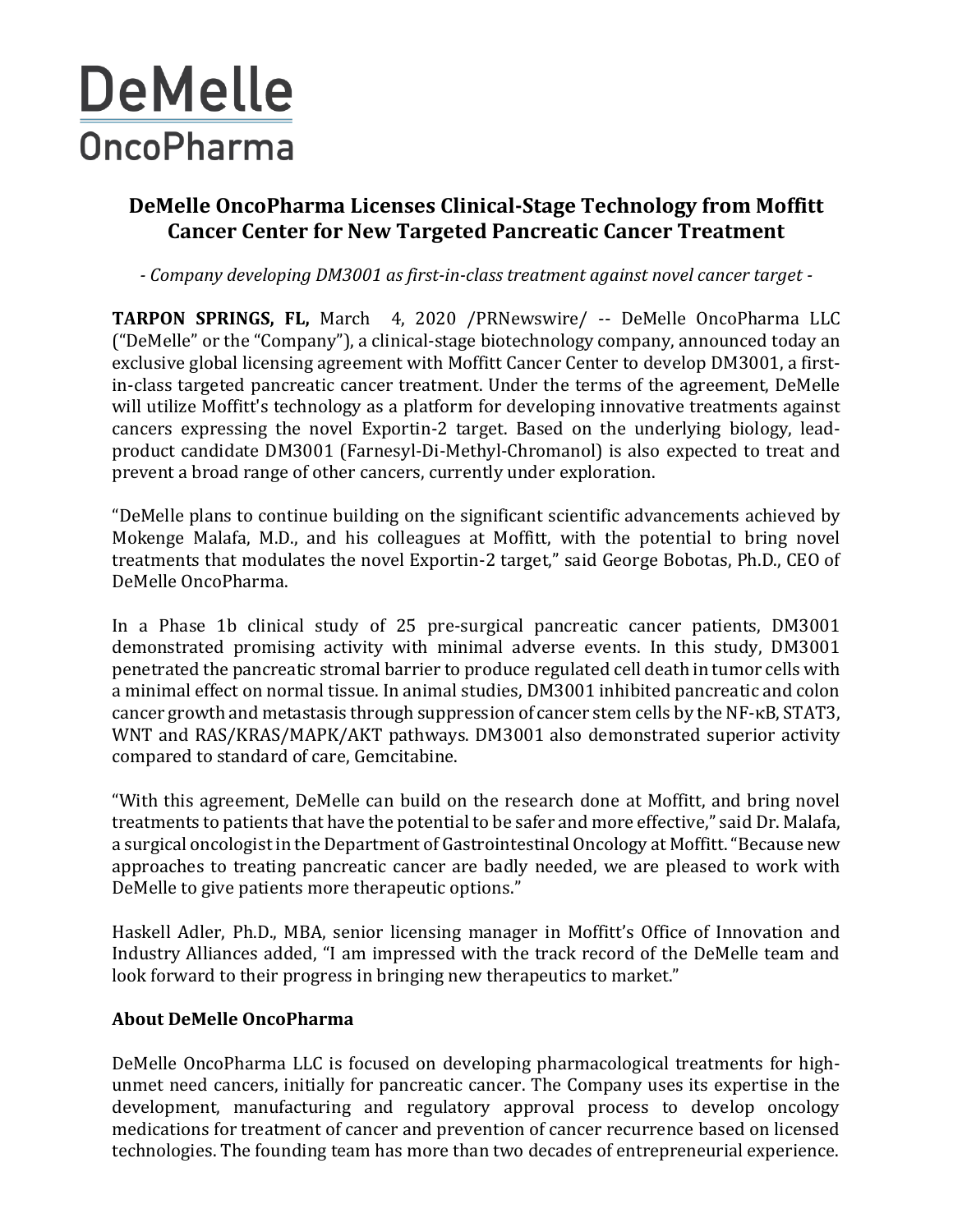## **DeMelle OncoPharma**

## **DeMelle OncoPharma Licenses Clinical-Stage Technology from Moffitt Cancer Center for New Targeted Pancreatic Cancer Treatment**

*- Company developing DM3001 as first-in-class treatment against novel cancer target -*

**TARPON SPRINGS, FL,** March 4, 2020 /PRNewswire/ -- DeMelle OncoPharma LLC ("DeMelle" or the "Company"), a clinical-stage biotechnology company, announced today an exclusive global licensing agreement with Moffitt Cancer Center to develop DM3001, a firstin-class targeted pancreatic cancer treatment. Under the terms of the agreement, DeMelle will utilize Moffitt's technology as a platform for developing innovative treatments against cancers expressing the novel Exportin-2 target. Based on the underlying biology, leadproduct candidate DM3001 (Farnesyl-Di-Methyl-Chromanol) is also expected to treat and prevent a broad range of other cancers, currently under exploration.

"DeMelle plans to continue building on the significant scientific advancements achieved by Mokenge Malafa, M.D., and his colleagues at Moffitt, with the potential to bring novel treatments that modulates the novel Exportin-2 target," said George Bobotas, Ph.D., CEO of DeMelle OncoPharma.

In a Phase 1b clinical study of 25 pre-surgical pancreatic cancer patients, DM3001 demonstrated promising activity with minimal adverse events. In this study, DM3001 penetrated the pancreatic stromal barrier to produce regulated cell death in tumor cells with a minimal effect on normal tissue. In animal studies, DM3001 inhibited pancreatic and colon cancer growth and metastasis through suppression of cancer stem cells by the NF-κB, STAT3, WNT and RAS/KRAS/MAPK/AKT pathways. DM3001 also demonstrated superior activity compared to standard of care, Gemcitabine.

"With this agreement, DeMelle can build on the research done at Moffitt, and bring novel treatments to patients that have the potential to be safer and more effective," said Dr. Malafa, a surgical oncologist in the Department of Gastrointestinal Oncology at Moffitt."Because new approaches to treating pancreatic cancer are badly needed, we are pleased to work with DeMelle to give patients more therapeutic options."

Haskell Adler, Ph.D., MBA, senior licensing manager in Moffitt's Office of Innovation and Industry Alliances added, "I am impressed with the track record of the DeMelle team and look forward to their progress in bringing new therapeutics to market."

## **About DeMelle OncoPharma**

DeMelle OncoPharma LLC is focused on developing pharmacological treatments for highunmet need cancers, initially for pancreatic cancer. The Company uses its expertise in the development, manufacturing and regulatory approval process to develop oncology medications for treatment of cancer and prevention of cancer recurrence based on licensed technologies. The founding team has more than two decades of entrepreneurial experience.